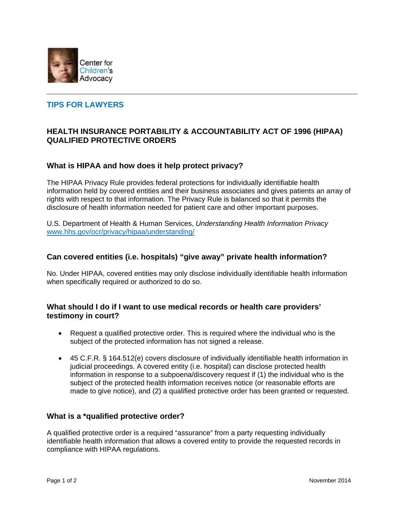

# **TIPS FOR LAWYERS**

## **HEALTH INSURANCE PORTABILITY & ACCOUNTABILITY ACT OF 1996 (HIPAA) QUALIFIED PROTECTIVE ORDERS**

### **What is HIPAA and how does it help protect privacy?**

The HIPAA Privacy Rule provides federal protections for individually identifiable health information held by covered entities and their business associates and gives patients an array of rights with respect to that information. The Privacy Rule is balanced so that it permits the disclosure of health information needed for patient care and other important purposes.

U.S. Department of Health & Human Services, *Understanding Health Information Privacy* www.hhs.gov/ocr/privacy/hipaa/understanding/

#### **Can covered entities (i.e. hospitals) "give away" private health information?**

No. Under HIPAA, covered entities may only disclose individually identifiable health information when specifically required or authorized to do so.

### **What should I do if I want to use medical records or health care providers' testimony in court?**

- Request a qualified protective order. This is required where the individual who is the subject of the protected information has not signed a release.
- 45 C.F.R. § 164.512(e) covers disclosure of individually identifiable health information in judicial proceedings. A covered entity (i.e. hospital) can disclose protected health information in response to a subpoena/discovery request if (1) the individual who is the subject of the protected health information receives notice (or reasonable efforts are made to give notice), and (2) a qualified protective order has been granted or requested.

#### **What is a \*qualified protective order?**

A qualified protective order is a required "assurance" from a party requesting individually identifiable health information that allows a covered entity to provide the requested records in compliance with HIPAA regulations.